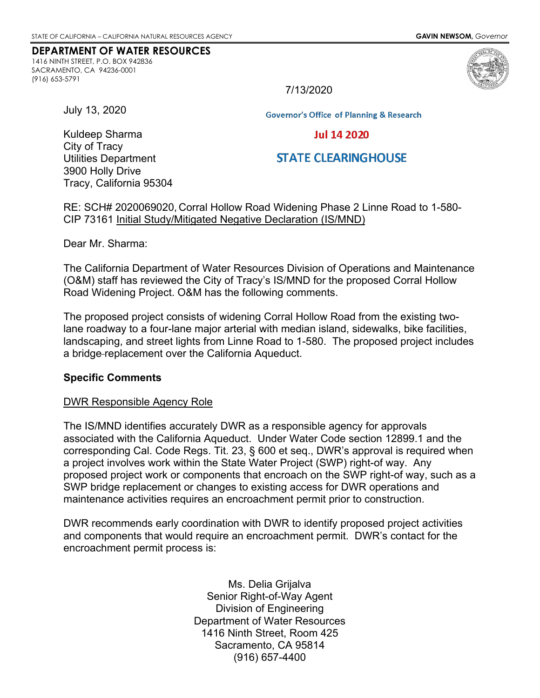#### **DEPARTMENT OF WATER RESOURCES**

1416 NINTH STREET, P.O. BOX 942836 SACRAMENTO, CA 94236-0001 (916) 653-5791



7/13/2020

July 13, 2020

Kuldeep Sharma

**Governor's Office of Planning & Research** 

### **Jul 14 2020**

# **STATE CLEARINGHOUSE**

City of Tracy Utilities Department 3900 Holly Drive Tracy, California 95304

RE: SCH# 2020069020, Corral Hollow Road Widening Phase 2 Linne Road to 1-580- CIP 73161 Initial Study/Mitigated Negative Declaration (IS/MND)

Dear Mr. Sharma:

The California Department of Water Resources Division of Operations and Maintenance (O&M) staff has reviewed the City of Tracy's IS/MND for the proposed Corral Hollow Road Widening Project. O&M has the following comments.

The proposed project consists of widening Corral Hollow Road from the existing twolane roadway to a four-lane major arterial with median island, sidewalks, bike facilities, landscaping, and street lights from Linne Road to 1-580. The proposed project includes a bridge replacement over the California Aqueduct.

#### **Specific Comments**

#### DWR Responsible Agency Role

The IS/MND identifies accurately DWR as a responsible agency for approvals associated with the California Aqueduct. Under Water Code section 12899.1 and the corresponding Cal. Code Regs. Tit. 23, § 600 et seq., DWR's approval is required when a project involves work within the State Water Project (SWP) right-of way. Any proposed project work or components that encroach on the SWP right-of way, such as a SWP bridge replacement or changes to existing access for DWR operations and maintenance activities requires an encroachment permit prior to construction.

DWR recommends early coordination with DWR to identify proposed project activities and components that would require an encroachment permit. DWR's contact for the encroachment permit process is:

> Ms. Delia Grijalva Senior Right-of-Way Agent Division of Engineering Department of Water Resources 1416 Ninth Street, Room 425 Sacramento, CA 95814 (916) 657-4400